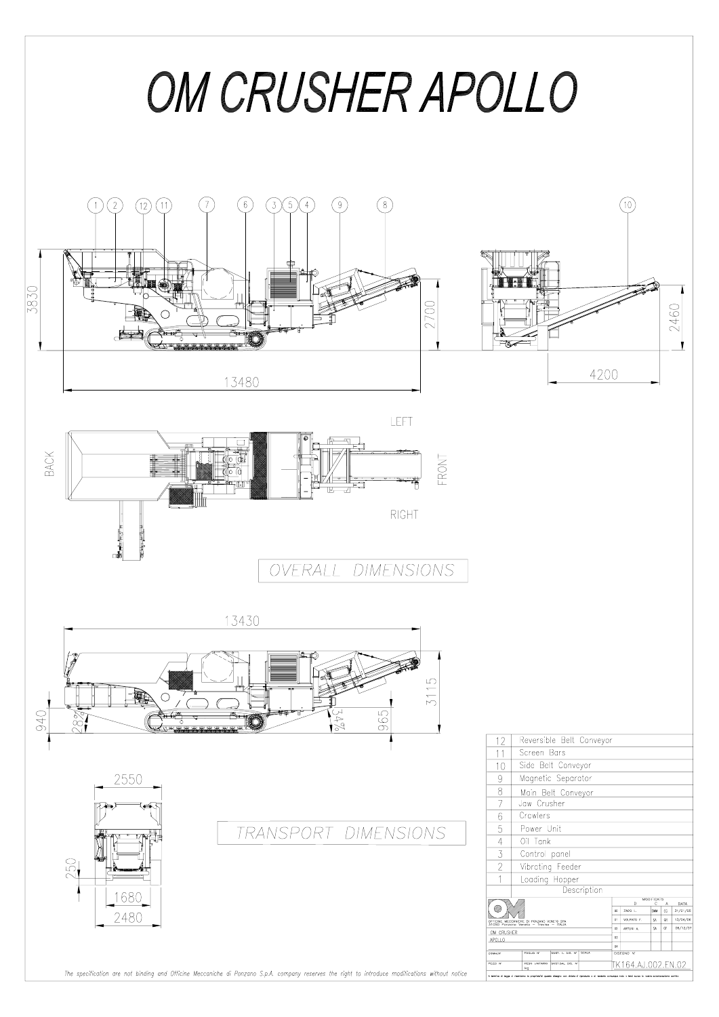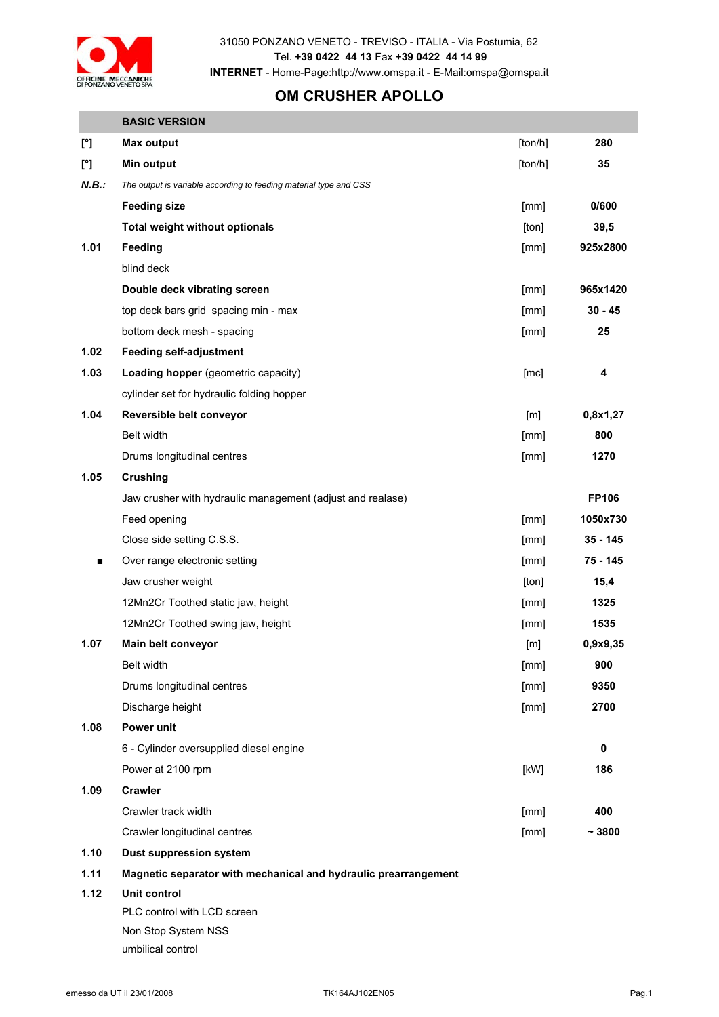

31050 PONZANO VENETO - TREVISO - ITALIA - Via Postumia, 62 Tel. **+39 0422 44 13** Fax **+39 0422 44 14 99 INTERNET** - Home-Page:http://www.omspa.it - E-Mail:omspa@omspa.it

## **OM CRUSHER APOLLO**

|                        | <b>BASIC VERSION</b>                                              |         |              |
|------------------------|-------------------------------------------------------------------|---------|--------------|
| $\mathfrak{l}^{\circ}$ | <b>Max output</b>                                                 | [ton/h] | 280          |
| $\mathfrak{r}$         | <b>Min output</b>                                                 | [ton/h] | 35           |
| N.B.:                  | The output is variable according to feeding material type and CSS |         |              |
|                        | <b>Feeding size</b>                                               | [mm]    | 0/600        |
|                        | <b>Total weight without optionals</b>                             | [ton]   | 39,5         |
| 1.01                   | Feeding                                                           | [mm]    | 925x2800     |
|                        | blind deck                                                        |         |              |
|                        | Double deck vibrating screen                                      | [mm]    | 965x1420     |
|                        | top deck bars grid spacing min - max                              | [mm]    | $30 - 45$    |
|                        | bottom deck mesh - spacing                                        | [mm]    | 25           |
| 1.02                   | <b>Feeding self-adjustment</b>                                    |         |              |
| 1.03                   | Loading hopper (geometric capacity)                               | [mc]    | 4            |
|                        | cylinder set for hydraulic folding hopper                         |         |              |
| 1.04                   | Reversible belt conveyor                                          | [m]     | 0,8x1,27     |
|                        | Belt width                                                        | [mm]    | 800          |
|                        | Drums longitudinal centres                                        | [mm]    | 1270         |
| 1.05                   | <b>Crushing</b>                                                   |         |              |
|                        | Jaw crusher with hydraulic management (adjust and realase)        |         | <b>FP106</b> |
| ▪                      | Feed opening                                                      | [mm]    | 1050x730     |
|                        | Close side setting C.S.S.                                         | [mm]    | $35 - 145$   |
|                        | Over range electronic setting                                     | [mm]    | 75 - 145     |
|                        | Jaw crusher weight                                                | [ton]   | 15,4         |
|                        | 12Mn2Cr Toothed static jaw, height                                | [mm]    | 1325         |
|                        | 12Mn2Cr Toothed swing jaw, height                                 | [mm]    | 1535         |
| 1.07                   | Main belt conveyor                                                | [m]     | 0,9x9,35     |
|                        | Belt width                                                        | [mm]    | 900          |
|                        | Drums longitudinal centres                                        | [mm]    | 9350         |
|                        | Discharge height                                                  | [mm]    | 2700         |
| 1.08                   | Power unit                                                        |         |              |
|                        | 6 - Cylinder oversupplied diesel engine                           |         | 0            |
|                        | Power at 2100 rpm                                                 | [kW]    | 186          |
| 1.09                   | <b>Crawler</b>                                                    |         |              |
|                        | Crawler track width                                               | [mm]    | 400          |
|                        | Crawler longitudinal centres                                      | [mm]    | ~13800       |
| 1.10                   | <b>Dust suppression system</b>                                    |         |              |
| 1.11                   | Magnetic separator with mechanical and hydraulic prearrangement   |         |              |
| 1.12                   | Unit control                                                      |         |              |

PLC control with LCD screen Non Stop System NSS umbilical control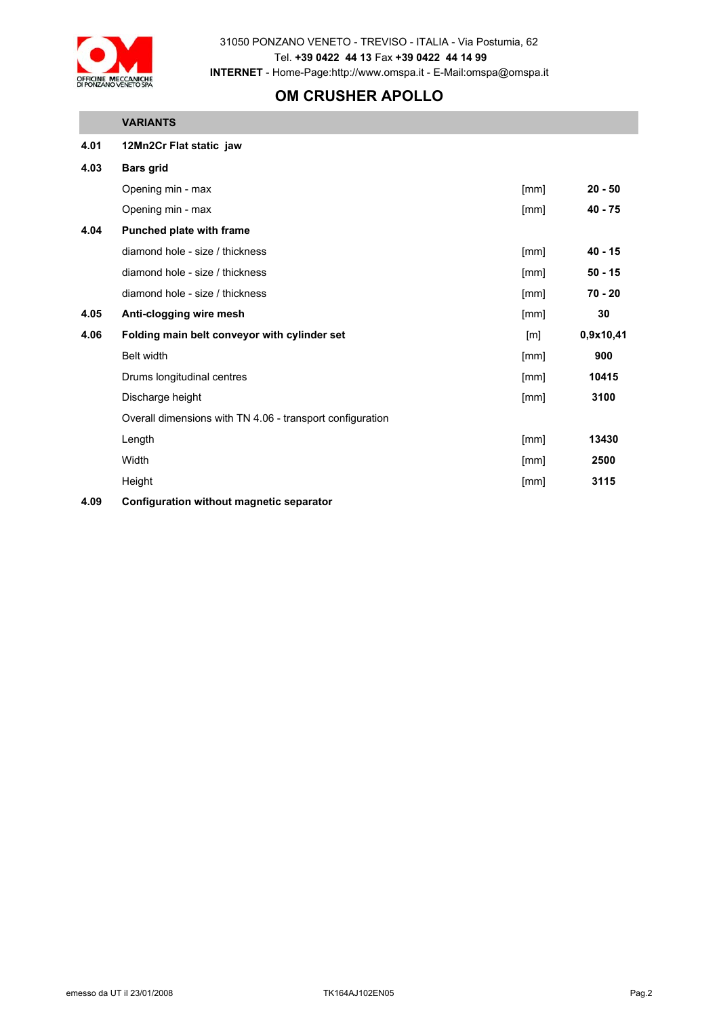

31050 PONZANO VENETO - TREVISO - ITALIA - Via Postumia, 62 Tel. **+39 0422 44 13** Fax **+39 0422 44 14 99 INTERNET** - Home-Page:http://www.omspa.it - E-Mail:omspa@omspa.it

## **OM CRUSHER APOLLO**

## **VARIANTS**

| 4.01   | 12Mn2Cr Flat static jaw                                   |      |           |
|--------|-----------------------------------------------------------|------|-----------|
| 4.03   | <b>Bars grid</b>                                          |      |           |
|        | Opening min - max                                         | [mm] | $20 - 50$ |
|        | Opening min - max                                         | [mm] | $40 - 75$ |
| 4.04   | Punched plate with frame                                  |      |           |
|        | diamond hole - size / thickness                           | [mm] | $40 - 15$ |
|        | diamond hole - size / thickness                           | [mm] | $50 - 15$ |
|        | diamond hole - size / thickness                           | [mm] | $70 - 20$ |
| 4.05   | Anti-clogging wire mesh                                   | [mm] | 30        |
| 4.06   | Folding main belt conveyor with cylinder set              | [m]  | 0,9x10,41 |
|        | Belt width                                                | [mm] | 900       |
|        | Drums longitudinal centres                                | [mm] | 10415     |
|        | Discharge height                                          | [mm] | 3100      |
|        | Overall dimensions with TN 4.06 - transport configuration |      |           |
|        | Length                                                    | [mm] | 13430     |
|        | Width                                                     | [mm] | 2500      |
|        | Height                                                    | [mm] | 3115      |
| $\sim$ |                                                           |      |           |

**4.09 Configuration without magnetic separator**